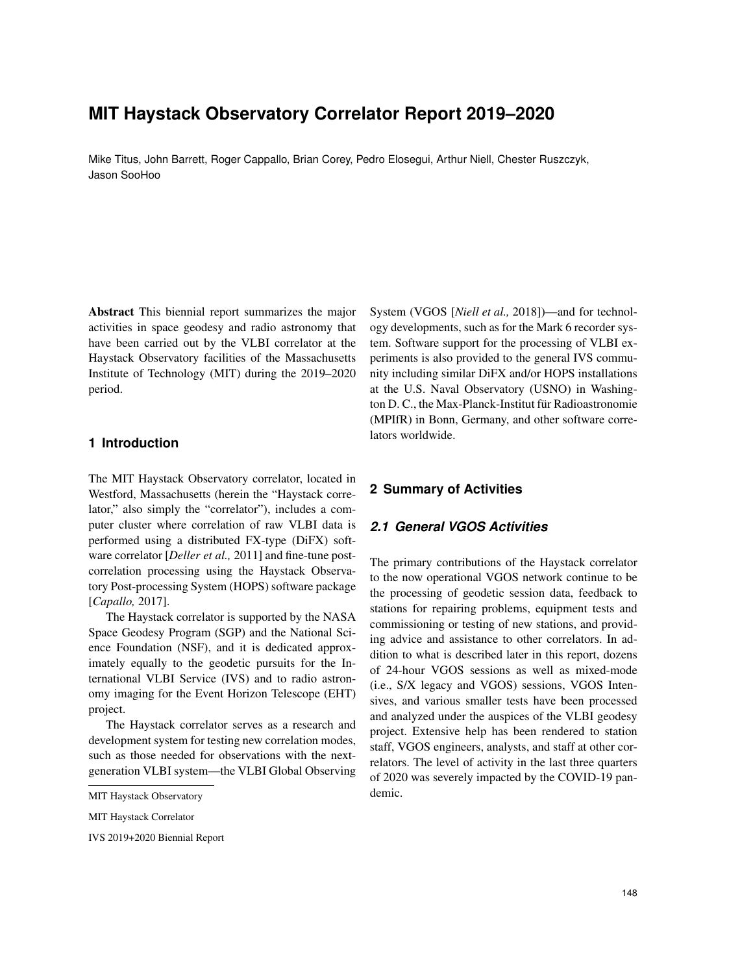# **MIT Haystack Observatory Correlator Report 2019–2020**

Mike Titus, John Barrett, Roger Cappallo, Brian Corey, Pedro Elosegui, Arthur Niell, Chester Ruszczyk, Jason SooHoo

Abstract This biennial report summarizes the major activities in space geodesy and radio astronomy that have been carried out by the VLBI correlator at the Haystack Observatory facilities of the Massachusetts Institute of Technology (MIT) during the 2019–2020 period.

### **1 Introduction**

The MIT Haystack Observatory correlator, located in Westford, Massachusetts (herein the "Haystack correlator," also simply the "correlator"), includes a computer cluster where correlation of raw VLBI data is performed using a distributed FX-type (DiFX) software correlator [*Deller et al.,* 2011] and fine-tune postcorrelation processing using the Haystack Observatory Post-processing System (HOPS) software package [*Capallo,* 2017].

The Haystack correlator is supported by the NASA Space Geodesy Program (SGP) and the National Science Foundation (NSF), and it is dedicated approximately equally to the geodetic pursuits for the International VLBI Service (IVS) and to radio astronomy imaging for the Event Horizon Telescope (EHT) project.

The Haystack correlator serves as a research and development system for testing new correlation modes, such as those needed for observations with the nextgeneration VLBI system—the VLBI Global Observing

IVS 2019+2020 Biennial Report

System (VGOS [*Niell et al.,* 2018])—and for technology developments, such as for the Mark 6 recorder system. Software support for the processing of VLBI experiments is also provided to the general IVS community including similar DiFX and/or HOPS installations at the U.S. Naval Observatory (USNO) in Washington D. C., the Max-Planck-Institut für Radioastronomie (MPIfR) in Bonn, Germany, and other software correlators worldwide.

#### **2 Summary of Activities**

## *2.1 General VGOS Activities*

The primary contributions of the Haystack correlator to the now operational VGOS network continue to be the processing of geodetic session data, feedback to stations for repairing problems, equipment tests and commissioning or testing of new stations, and providing advice and assistance to other correlators. In addition to what is described later in this report, dozens of 24-hour VGOS sessions as well as mixed-mode (i.e., S/X legacy and VGOS) sessions, VGOS Intensives, and various smaller tests have been processed and analyzed under the auspices of the VLBI geodesy project. Extensive help has been rendered to station staff, VGOS engineers, analysts, and staff at other correlators. The level of activity in the last three quarters of 2020 was severely impacted by the COVID-19 pandemic.

MIT Haystack Observatory

MIT Haystack Correlator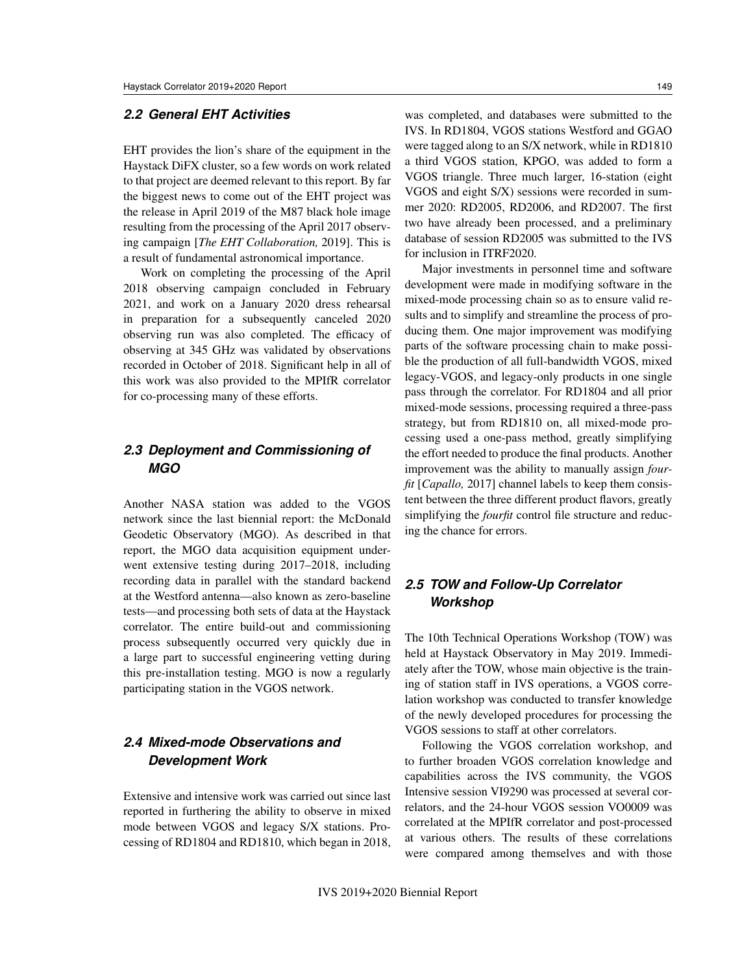## *2.2 General EHT Activities*

EHT provides the lion's share of the equipment in the Haystack DiFX cluster, so a few words on work related to that project are deemed relevant to this report. By far the biggest news to come out of the EHT project was the release in April 2019 of the M87 black hole image resulting from the processing of the April 2017 observing campaign [*The EHT Collaboration,* 2019]. This is a result of fundamental astronomical importance.

Work on completing the processing of the April 2018 observing campaign concluded in February 2021, and work on a January 2020 dress rehearsal in preparation for a subsequently canceled 2020 observing run was also completed. The efficacy of observing at 345 GHz was validated by observations recorded in October of 2018. Significant help in all of this work was also provided to the MPIfR correlator for co-processing many of these efforts.

## *2.3 Deployment and Commissioning of MGO*

Another NASA station was added to the VGOS network since the last biennial report: the McDonald Geodetic Observatory (MGO). As described in that report, the MGO data acquisition equipment underwent extensive testing during 2017–2018, including recording data in parallel with the standard backend at the Westford antenna—also known as zero-baseline tests—and processing both sets of data at the Haystack correlator. The entire build-out and commissioning process subsequently occurred very quickly due in a large part to successful engineering vetting during this pre-installation testing. MGO is now a regularly participating station in the VGOS network.

## *2.4 Mixed-mode Observations and Development Work*

Extensive and intensive work was carried out since last reported in furthering the ability to observe in mixed mode between VGOS and legacy S/X stations. Processing of RD1804 and RD1810, which began in 2018, was completed, and databases were submitted to the IVS. In RD1804, VGOS stations Westford and GGAO were tagged along to an S/X network, while in RD1810 a third VGOS station, KPGO, was added to form a VGOS triangle. Three much larger, 16-station (eight VGOS and eight S/X) sessions were recorded in summer 2020: RD2005, RD2006, and RD2007. The first two have already been processed, and a preliminary database of session RD2005 was submitted to the IVS for inclusion in ITRF2020.

Major investments in personnel time and software development were made in modifying software in the mixed-mode processing chain so as to ensure valid results and to simplify and streamline the process of producing them. One major improvement was modifying parts of the software processing chain to make possible the production of all full-bandwidth VGOS, mixed legacy-VGOS, and legacy-only products in one single pass through the correlator. For RD1804 and all prior mixed-mode sessions, processing required a three-pass strategy, but from RD1810 on, all mixed-mode processing used a one-pass method, greatly simplifying the effort needed to produce the final products. Another improvement was the ability to manually assign *fourfit* [*Capallo,* 2017] channel labels to keep them consistent between the three different product flavors, greatly simplifying the *fourfit* control file structure and reducing the chance for errors.

## *2.5 TOW and Follow-Up Correlator Workshop*

The 10th Technical Operations Workshop (TOW) was held at Haystack Observatory in May 2019. Immediately after the TOW, whose main objective is the training of station staff in IVS operations, a VGOS correlation workshop was conducted to transfer knowledge of the newly developed procedures for processing the VGOS sessions to staff at other correlators.

Following the VGOS correlation workshop, and to further broaden VGOS correlation knowledge and capabilities across the IVS community, the VGOS Intensive session VI9290 was processed at several correlators, and the 24-hour VGOS session VO0009 was correlated at the MPIfR correlator and post-processed at various others. The results of these correlations were compared among themselves and with those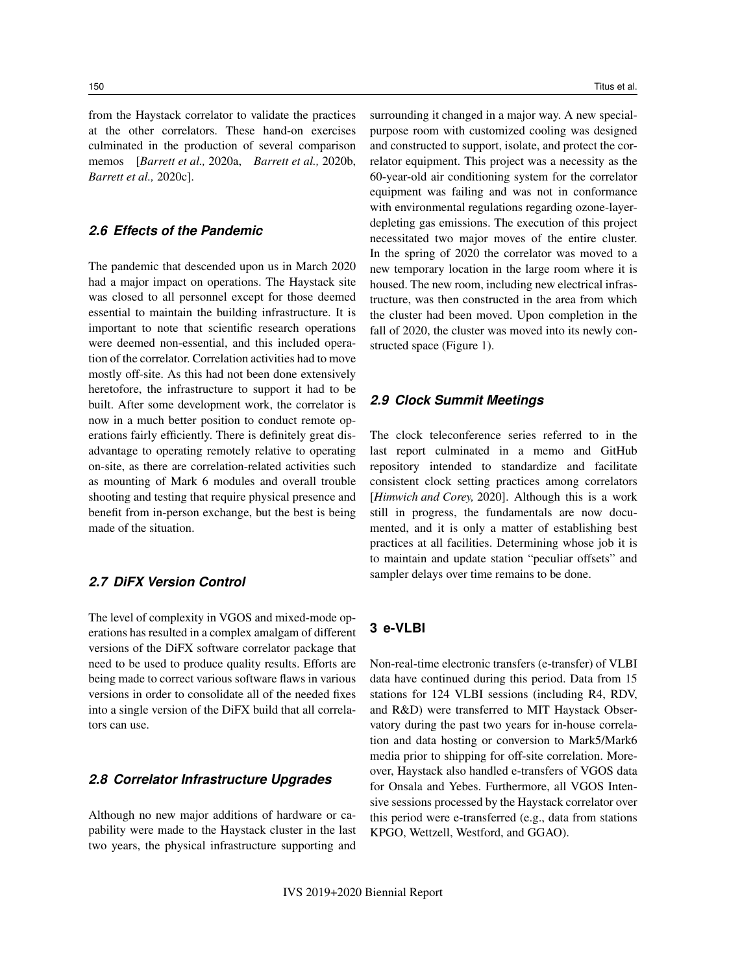from the Haystack correlator to validate the practices at the other correlators. These hand-on exercises culminated in the production of several comparison memos [*Barrett et al.,* 2020a, *Barrett et al.,* 2020b, *Barrett et al.,* 2020c].

## *2.6 Effects of the Pandemic*

The pandemic that descended upon us in March 2020 had a major impact on operations. The Haystack site was closed to all personnel except for those deemed essential to maintain the building infrastructure. It is important to note that scientific research operations were deemed non-essential, and this included operation of the correlator. Correlation activities had to move mostly off-site. As this had not been done extensively heretofore, the infrastructure to support it had to be built. After some development work, the correlator is now in a much better position to conduct remote operations fairly efficiently. There is definitely great disadvantage to operating remotely relative to operating on-site, as there are correlation-related activities such as mounting of Mark 6 modules and overall trouble shooting and testing that require physical presence and benefit from in-person exchange, but the best is being made of the situation.

### *2.7 DiFX Version Control*

The level of complexity in VGOS and mixed-mode operations has resulted in a complex amalgam of different versions of the DiFX software correlator package that need to be used to produce quality results. Efforts are being made to correct various software flaws in various versions in order to consolidate all of the needed fixes into a single version of the DiFX build that all correlators can use.

#### *2.8 Correlator Infrastructure Upgrades*

Although no new major additions of hardware or capability were made to the Haystack cluster in the last two years, the physical infrastructure supporting and

surrounding it changed in a major way. A new specialpurpose room with customized cooling was designed and constructed to support, isolate, and protect the correlator equipment. This project was a necessity as the 60-year-old air conditioning system for the correlator equipment was failing and was not in conformance with environmental regulations regarding ozone-layerdepleting gas emissions. The execution of this project necessitated two major moves of the entire cluster. In the spring of 2020 the correlator was moved to a new temporary location in the large room where it is housed. The new room, including new electrical infrastructure, was then constructed in the area from which the cluster had been moved. Upon completion in the fall of 2020, the cluster was moved into its newly constructed space (Figure 1).

#### *2.9 Clock Summit Meetings*

The clock teleconference series referred to in the last report culminated in a memo and GitHub repository intended to standardize and facilitate consistent clock setting practices among correlators [*Himwich and Corey,* 2020]. Although this is a work still in progress, the fundamentals are now documented, and it is only a matter of establishing best practices at all facilities. Determining whose job it is to maintain and update station "peculiar offsets" and sampler delays over time remains to be done.

## **3 e-VLBI**

Non-real-time electronic transfers (e-transfer) of VLBI data have continued during this period. Data from 15 stations for 124 VLBI sessions (including R4, RDV, and R&D) were transferred to MIT Haystack Observatory during the past two years for in-house correlation and data hosting or conversion to Mark5/Mark6 media prior to shipping for off-site correlation. Moreover, Haystack also handled e-transfers of VGOS data for Onsala and Yebes. Furthermore, all VGOS Intensive sessions processed by the Haystack correlator over this period were e-transferred (e.g., data from stations KPGO, Wettzell, Westford, and GGAO).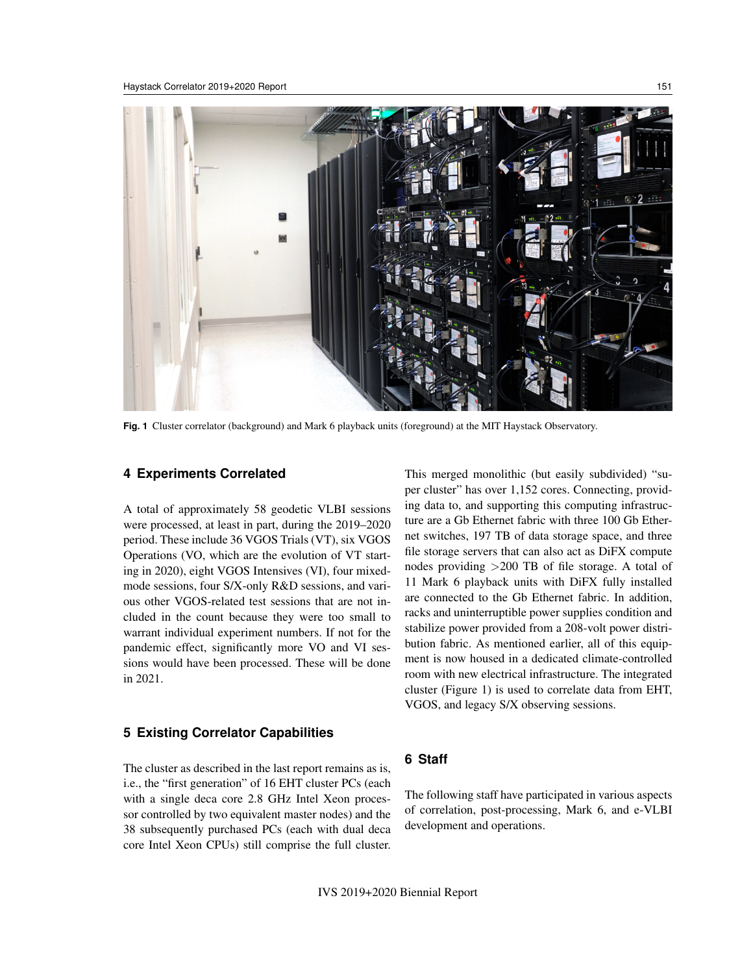

**Fig. 1** Cluster correlator (background) and Mark 6 playback units (foreground) at the MIT Haystack Observatory.

#### **4 Experiments Correlated**

A total of approximately 58 geodetic VLBI sessions were processed, at least in part, during the 2019–2020 period. These include 36 VGOS Trials (VT), six VGOS Operations (VO, which are the evolution of VT starting in 2020), eight VGOS Intensives (VI), four mixedmode sessions, four S/X-only R&D sessions, and various other VGOS-related test sessions that are not included in the count because they were too small to warrant individual experiment numbers. If not for the pandemic effect, significantly more VO and VI sessions would have been processed. These will be done in 2021.

### **5 Existing Correlator Capabilities**

The cluster as described in the last report remains as is, i.e., the "first generation" of 16 EHT cluster PCs (each with a single deca core 2.8 GHz Intel Xeon processor controlled by two equivalent master nodes) and the 38 subsequently purchased PCs (each with dual deca core Intel Xeon CPUs) still comprise the full cluster. This merged monolithic (but easily subdivided) "super cluster" has over 1,152 cores. Connecting, providing data to, and supporting this computing infrastructure are a Gb Ethernet fabric with three 100 Gb Ethernet switches, 197 TB of data storage space, and three file storage servers that can also act as DiFX compute nodes providing >200 TB of file storage. A total of 11 Mark 6 playback units with DiFX fully installed are connected to the Gb Ethernet fabric. In addition, racks and uninterruptible power supplies condition and stabilize power provided from a 208-volt power distribution fabric. As mentioned earlier, all of this equipment is now housed in a dedicated climate-controlled room with new electrical infrastructure. The integrated cluster (Figure 1) is used to correlate data from EHT, VGOS, and legacy S/X observing sessions.

## **6 Staff**

The following staff have participated in various aspects of correlation, post-processing, Mark 6, and e-VLBI development and operations.